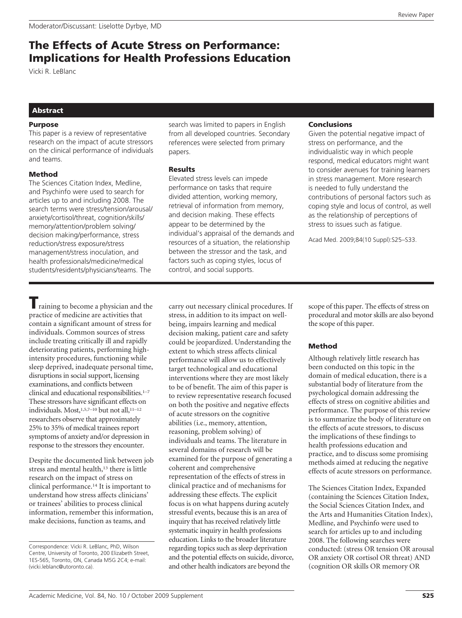# **The Effects of Acute Stress on Performance: Implications for Health Professions Education**

Vicki R. LeBlanc

### **Abstract**

#### **Purpose**

This paper is a review of representative research on the impact of acute stressors on the clinical performance of individuals and teams.

#### **Method**

The Sciences Citation Index, Medline, and Psychinfo were used to search for articles up to and including 2008. The search terms were stress/tension/arousal/ anxiety/cortisol/threat, cognition/skills/ memory/attention/problem solving/ decision making/performance, stress reduction/stress exposure/stress management/stress inoculation, and health professionals/medicine/medical students/residents/physicians/teams. The

search was limited to papers in English from all developed countries. Secondary references were selected from primary papers.

### **Results**

Elevated stress levels can impede performance on tasks that require divided attention, working memory, retrieval of information from memory, and decision making. These effects appear to be determined by the individual's appraisal of the demands and resources of a situation, the relationship between the stressor and the task, and factors such as coping styles, locus of control, and social supports.

#### **Conclusions**

Given the potential negative impact of stress on performance, and the individualistic way in which people respond, medical educators might want to consider avenues for training learners in stress management. More research is needed to fully understand the contributions of personal factors such as coping style and locus of control, as well as the relationship of perceptions of stress to issues such as fatigue.

Acad Med. 2009;84(10 Suppl):S25–S33.

**T**raining to become a physician and the practice of medicine are activities that contain a significant amount of stress for individuals. Common sources of stress include treating critically ill and rapidly deteriorating patients, performing highintensity procedures, functioning while sleep deprived, inadequate personal time, disruptions in social support, licensing examinations, and conflicts between clinical and educational responsibilities.<sup>1-7</sup> These stressors have significant effects on individuals. Most,1,5,7–10 but not all,11–12 researchers observe that approximately 25% to 35% of medical trainees report symptoms of anxiety and/or depression in response to the stressors they encounter.

Despite the documented link between job stress and mental health,<sup>13</sup> there is little research on the impact of stress on clinical performance.14 It is important to understand how stress affects clinicians' or trainees' abilities to process clinical information, remember this information, make decisions, function as teams, and

carry out necessary clinical procedures. If stress, in addition to its impact on wellbeing, impairs learning and medical decision making, patient care and safety could be jeopardized. Understanding the extent to which stress affects clinical performance will allow us to effectively target technological and educational interventions where they are most likely to be of benefit. The aim of this paper is to review representative research focused on both the positive and negative effects of acute stressors on the cognitive abilities (i.e., memory, attention, reasoning, problem solving) of individuals and teams. The literature in several domains of research will be examined for the purpose of generating a coherent and comprehensive representation of the effects of stress in clinical practice and of mechanisms for addressing these effects. The explicit focus is on what happens during acutely stressful events, because this is an area of inquiry that has received relatively little systematic inquiry in health professions education. Links to the broader literature regarding topics such as sleep deprivation and the potential effects on suicide, divorce, and other health indicators are beyond the

scope of this paper. The effects of stress on procedural and motor skills are also beyond the scope of this paper.

## **Method**

Although relatively little research has been conducted on this topic in the domain of medical education, there is a substantial body of literature from the psychological domain addressing the effects of stress on cognitive abilities and performance. The purpose of this review is to summarize the body of literature on the effects of acute stressors, to discuss the implications of these findings to health professions education and practice, and to discuss some promising methods aimed at reducing the negative effects of acute stressors on performance.

The Sciences Citation Index, Expanded (containing the Sciences Citation Index, the Social Sciences Citation Index, and the Arts and Humanities Citation Index), Medline, and Psychinfo were used to search for articles up to and including 2008. The following searches were conducted: (stress OR tension OR arousal OR anxiety OR cortisol OR threat) AND (cognition OR skills OR memory OR

Correspondence: Vicki R. LeBlanc, PhD, Wilson Centre, University of Toronto, 200 Elizabeth Street, 1ES-565, Toronto, ON, Canada M5G 2C4; e-mail: (vicki.leblanc@utoronto.ca).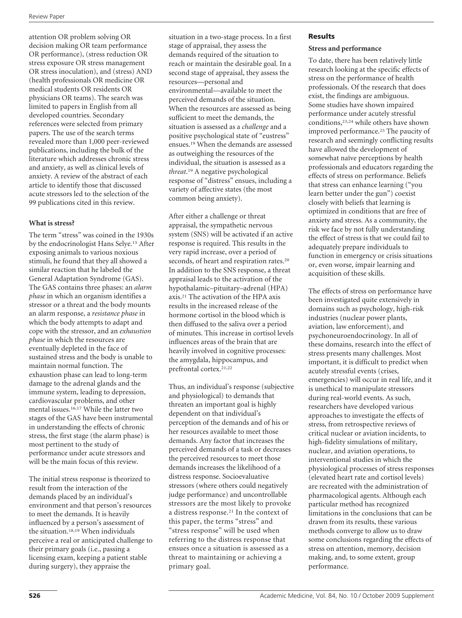attention OR problem solving OR decision making OR team performance OR performance), (stress reduction OR stress exposure OR stress management OR stress inoculation), and (stress) AND (health professionals OR medicine OR medical students OR residents OR physicians OR teams). The search was limited to papers in English from all developed countries. Secondary references were selected from primary papers. The use of the search terms revealed more than 1,000 peer-reviewed publications, including the bulk of the literature which addresses chronic stress and anxiety, as well as clinical levels of anxiety. A review of the abstract of each article to identify those that discussed acute stressors led to the selection of the 99 publications cited in this review.

## **What is stress?**

The term "stress" was coined in the 1930s by the endocrinologist Hans Selye.15 After exposing animals to various noxious stimuli, he found that they all showed a similar reaction that he labeled the General Adaptation Syndrome (GAS). The GAS contains three phases: an *alarm phase* in which an organism identifies a stressor or a threat and the body mounts an alarm response, a *resistance phase* in which the body attempts to adapt and cope with the stressor, and an *exhaustion phase* in which the resources are eventually depleted in the face of sustained stress and the body is unable to maintain normal function. The exhaustion phase can lead to long-term damage to the adrenal glands and the immune system, leading to depression, cardiovascular problems, and other mental issues.<sup>16,17</sup> While the latter two stages of the GAS have been instrumental in understanding the effects of chronic stress, the first stage (the alarm phase) is most pertinent to the study of performance under acute stressors and will be the main focus of this review.

The initial stress response is theorized to result from the interaction of the demands placed by an individual's environment and that person's resources to meet the demands. It is heavily influenced by a person's assessment of the situation.18,19 When individuals perceive a real or anticipated challenge to their primary goals (i.e., passing a licensing exam, keeping a patient stable during surgery), they appraise the

situation in a two-stage process. In a first stage of appraisal, they assess the demands required of the situation to reach or maintain the desirable goal. In a second stage of appraisal, they assess the resources—personal and environmental—available to meet the perceived demands of the situation. When the resources are assessed as being sufficient to meet the demands, the situation is assessed as a *challenge* and a positive psychological state of "eustress" ensues.19 When the demands are assessed as outweighing the resources of the individual, the situation is assessed as a *threat*. <sup>19</sup> A negative psychological response of "distress" ensues, including a variety of affective states (the most common being anxiety).

After either a challenge or threat appraisal, the sympathetic nervous system (SNS) will be activated if an active response is required. This results in the very rapid increase, over a period of seconds, of heart and respiration rates.<sup>20</sup> In addition to the SNS response, a threat appraisal leads to the activation of the hypothalamic–pituitary–adrenal (HPA) axis.21 The activation of the HPA axis results in the increased release of the hormone cortisol in the blood which is then diffused to the saliva over a period of minutes. This increase in cortisol levels influences areas of the brain that are heavily involved in cognitive processes: the amygdala, hippocampus, and prefrontal cortex.21,22

Thus, an individual's response (subjective and physiological) to demands that threaten an important goal is highly dependent on that individual's perception of the demands and of his or her resources available to meet those demands. Any factor that increases the perceived demands of a task or decreases the perceived resources to meet those demands increases the likelihood of a distress response. Socioevaluative stressors (where others could negatively judge performance) and uncontrollable stressors are the most likely to provoke a distress response.21 In the context of this paper, the terms "stress" and "stress response" will be used when referring to the distress response that ensues once a situation is assessed as a threat to maintaining or achieving a primary goal.

## **Results**

#### **Stress and performance**

To date, there has been relatively little research looking at the specific effects of stress on the performance of health professionals. Of the research that does exist, the findings are ambiguous. Some studies have shown impaired performance under acutely stressful conditions,23,24 while others have shown improved performance.25 The paucity of research and seemingly conflicting results have allowed the development of somewhat naïve perceptions by health professionals and educators regarding the effects of stress on performance. Beliefs that stress can enhance learning ("you learn better under the gun") coexist closely with beliefs that learning is optimized in conditions that are free of anxiety and stress. As a community, the risk we face by not fully understanding the effect of stress is that we could fail to adequately prepare individuals to function in emergency or crisis situations or, even worse, impair learning and acquisition of these skills.

The effects of stress on performance have been investigated quite extensively in domains such as psychology, high-risk industries (nuclear power plants, aviation, law enforcement), and psychoneuroendocrinology. In all of these domains, research into the effect of stress presents many challenges. Most important, it is difficult to predict when acutely stressful events (crises, emergencies) will occur in real life, and it is unethical to manipulate stressors during real-world events. As such, researchers have developed various approaches to investigate the effects of stress, from retrospective reviews of critical nuclear or aviation incidents, to high-fidelity simulations of military, nuclear, and aviation operations, to interventional studies in which the physiological processes of stress responses (elevated heart rate and cortisol levels) are recreated with the administration of pharmacological agents. Although each particular method has recognized limitations in the conclusions that can be drawn from its results, these various methods converge to allow us to draw some conclusions regarding the effects of stress on attention, memory, decision making, and, to some extent, group performance.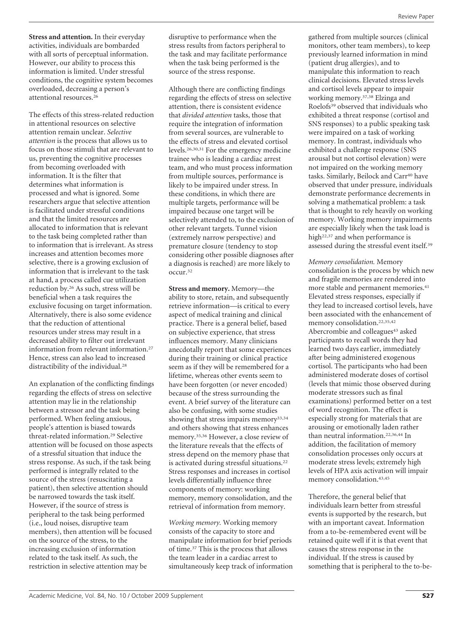**Stress and attention.** In their everyday activities, individuals are bombarded with all sorts of perceptual information. However, our ability to process this information is limited. Under stressful conditions, the cognitive system becomes overloaded, decreasing a person's attentional resources.26

The effects of this stress-related reduction in attentional resources on selective attention remain unclear. *Selective attention* is the process that allows us to focus on those stimuli that are relevant to us, preventing the cognitive processes from becoming overloaded with information. It is the filter that determines what information is processed and what is ignored. Some researchers argue that selective attention is facilitated under stressful conditions and that the limited resources are allocated to information that is relevant to the task being completed rather than to information that is irrelevant. As stress increases and attention becomes more selective, there is a growing exclusion of information that is irrelevant to the task at hand, a process called cue utilization reduction by.26 As such, stress will be beneficial when a task requires the exclusive focusing on target information. Alternatively, there is also some evidence that the reduction of attentional resources under stress may result in a decreased ability to filter out irrelevant information from relevant information.27 Hence, stress can also lead to increased distractibility of the individual.<sup>28</sup>

An explanation of the conflicting findings regarding the effects of stress on selective attention may lie in the relationship between a stressor and the task being performed. When feeling anxious, people's attention is biased towards threat-related information.29 Selective attention will be focused on those aspects of a stressful situation that induce the stress response. As such, if the task being performed is integrally related to the source of the stress (resuscitating a patient), then selective attention should be narrowed towards the task itself. However, if the source of stress is peripheral to the task being performed (i.e., loud noises, disruptive team members), then attention will be focused on the source of the stress, to the increasing exclusion of information related to the task itself. As such, the restriction in selective attention may be

disruptive to performance when the stress results from factors peripheral to the task and may facilitate performance when the task being performed is the source of the stress response.

Although there are conflicting findings regarding the effects of stress on selective attention, there is consistent evidence that *divided attention* tasks, those that require the integration of information from several sources, are vulnerable to the effects of stress and elevated cortisol levels.26,30,31 For the emergency medicine trainee who is leading a cardiac arrest team, and who must process information from multiple sources, performance is likely to be impaired under stress. In these conditions, in which there are multiple targets, performance will be impaired because one target will be selectively attended to, to the exclusion of other relevant targets. Tunnel vision (extremely narrow perspective) and premature closure (tendency to stop considering other possible diagnoses after a diagnosis is reached) are more likely to occur.32

**Stress and memory.** Memory—the ability to store, retain, and subsequently retrieve information—is critical to every aspect of medical training and clinical practice. There is a general belief, based on subjective experience, that stress influences memory. Many clinicians anecdotally report that some experiences during their training or clinical practice seem as if they will be remembered for a lifetime, whereas other events seem to have been forgotten (or never encoded) because of the stress surrounding the event. A brief survey of the literature can also be confusing, with some studies showing that stress impairs memory<sup>33,34</sup> and others showing that stress enhances memory.35,36 However, a close review of the literature reveals that the effects of stress depend on the memory phase that is activated during stressful situations.22 Stress responses and increases in cortisol levels differentially influence three components of memory: working memory, memory consolidation, and the retrieval of information from memory.

*Working memory.* Working memory consists of the capacity to store and manipulate information for brief periods of time.37 This is the process that allows the team leader in a cardiac arrest to simultaneously keep track of information gathered from multiple sources (clinical monitors, other team members), to keep previously learned information in mind (patient drug allergies), and to manipulate this information to reach clinical decisions. Elevated stress levels and cortisol levels appear to impair working memory.37,38 Elzinga and Roelofs39 observed that individuals who exhibited a threat response (cortisol and SNS responses) to a public speaking task were impaired on a task of working memory. In contrast, individuals who exhibited a challenge response (SNS arousal but not cortisol elevation) were not impaired on the working memory tasks. Similarly, Beilock and Carr<sup>40</sup> have observed that under pressure, individuals demonstrate performance decrements in solving a mathematical problem: a task that is thought to rely heavily on working memory. Working memory impairments are especially likely when the task load is high<sup>22,37</sup> and when performance is assessed during the stressful event itself.39

*Memory consolidation.* Memory consolidation is the process by which new and fragile memories are rendered into more stable and permanent memories.<sup>41</sup> Elevated stress responses, especially if they lead to increased cortisol levels, have been associated with the enhancement of memory consolidation.<sup>22,35,42</sup> Abercrombie and colleagues<sup>43</sup> asked participants to recall words they had learned two days earlier, immediately after being administered exogenous cortisol. The participants who had been administered moderate doses of cortisol (levels that mimic those observed during moderate stressors such as final examinations) performed better on a test of word recognition. The effect is especially strong for materials that are arousing or emotionally laden rather than neutral information.22,36,44 In addition, the facilitation of memory consolidation processes only occurs at moderate stress levels; extremely high levels of HPA axis activation will impair memory consolidation.43,45

Therefore, the general belief that individuals learn better from stressful events is supported by the research, but with an important caveat. Information from a to-be-remembered event will be retained quite well if it is that event that causes the stress response in the individual. If the stress is caused by something that is peripheral to the to-be-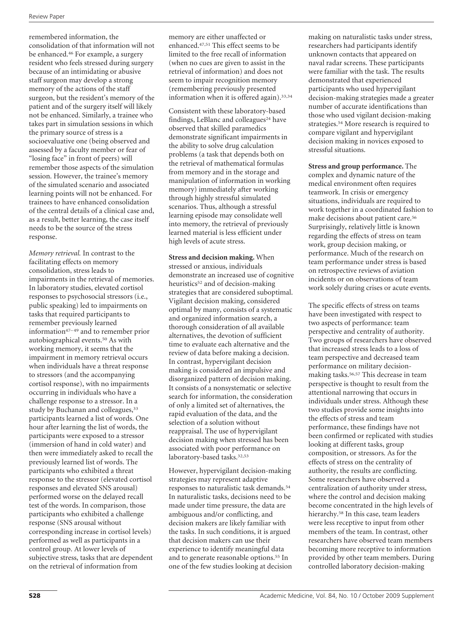remembered information, the consolidation of that information will not be enhanced.46 For example, a surgery resident who feels stressed during surgery because of an intimidating or abusive staff surgeon may develop a strong memory of the actions of the staff surgeon, but the resident's memory of the patient and of the surgery itself will likely not be enhanced. Similarly, a trainee who takes part in simulation sessions in which the primary source of stress is a socioevaluative one (being observed and assessed by a faculty member or fear of "losing face" in front of peers) will remember those aspects of the simulation session. However, the trainee's memory of the simulated scenario and associated learning points will not be enhanced. For trainees to have enhanced consolidation of the central details of a clinical case and, as a result, better learning, the case itself needs to be the source of the stress response.

*Memory retrieval.* In contrast to the facilitating effects on memory consolidation, stress leads to impairments in the retrieval of memories. In laboratory studies, elevated cortisol responses to psychosocial stressors (i.e., public speaking) led to impairments on tasks that required participants to remember previously learned information47–49 and to remember prior autobiographical events.50 As with working memory, it seems that the impairment in memory retrieval occurs when individuals have a threat response to stressors (and the accompanying cortisol response), with no impairments occurring in individuals who have a challenge response to a stressor. In a study by Buchanan and colleagues,<sup>33</sup> participants learned a list of words. One hour after learning the list of words, the participants were exposed to a stressor (immersion of hand in cold water) and then were immediately asked to recall the previously learned list of words. The participants who exhibited a threat response to the stressor (elevated cortisol responses and elevated SNS arousal) performed worse on the delayed recall test of the words. In comparison, those participants who exhibited a challenge response (SNS arousal without corresponding increase in cortisol levels) performed as well as participants in a control group. At lower levels of subjective stress, tasks that are dependent on the retrieval of information from

memory are either unaffected or enhanced.47,51 This effect seems to be limited to the free recall of information (when no cues are given to assist in the retrieval of information) and does not seem to impair recognition memory (remembering previously presented information when it is offered again).<sup>33,34</sup>

Consistent with these laboratory-based findings, LeBlanc and colleagues<sup>24</sup> have observed that skilled paramedics demonstrate significant impairments in the ability to solve drug calculation problems (a task that depends both on the retrieval of mathematical formulas from memory and in the storage and manipulation of information in working memory) immediately after working through highly stressful simulated scenarios. Thus, although a stressful learning episode may consolidate well into memory, the retrieval of previously learned material is less efficient under high levels of acute stress.

**Stress and decision making.** When stressed or anxious, individuals demonstrate an increased use of cognitive heuristics<sup>52</sup> and of decision-making strategies that are considered suboptimal. Vigilant decision making, considered optimal by many, consists of a systematic and organized information search, a thorough consideration of all available alternatives, the devotion of sufficient time to evaluate each alternative and the review of data before making a decision. In contrast, hypervigilant decision making is considered an impulsive and disorganized pattern of decision making. It consists of a nonsystematic or selective search for information, the consideration of only a limited set of alternatives, the rapid evaluation of the data, and the selection of a solution without reappraisal. The use of hypervigilant decision making when stressed has been associated with poor performance on laboratory-based tasks.<sup>32,53</sup>

However, hypervigilant decision-making strategies may represent adaptive responses to naturalistic task demands.54 In naturalistic tasks, decisions need to be made under time pressure, the data are ambiguous and/or conflicting, and decision makers are likely familiar with the tasks. In such conditions, it is argued that decision makers can use their experience to identify meaningful data and to generate reasonable options.55 In one of the few studies looking at decision making on naturalistic tasks under stress, researchers had participants identify unknown contacts that appeared on naval radar screens. These participants were familiar with the task. The results demonstrated that experienced participants who used hypervigilant decision-making strategies made a greater number of accurate identifications than those who used vigilant decision-making strategies.54 More research is required to compare vigilant and hypervigilant decision making in novices exposed to stressful situations.

**Stress and group performance.** The complex and dynamic nature of the medical environment often requires teamwork. In crisis or emergency situations, individuals are required to work together in a coordinated fashion to make decisions about patient care.56 Surprisingly, relatively little is known regarding the effects of stress on team work, group decision making, or performance. Much of the research on team performance under stress is based on retrospective reviews of aviation incidents or on observations of team work solely during crises or acute events.

The specific effects of stress on teams have been investigated with respect to two aspects of performance: team perspective and centrality of authority. Two groups of researchers have observed that increased stress leads to a loss of team perspective and decreased team performance on military decisionmaking tasks.56,57 This decrease in team perspective is thought to result from the attentional narrowing that occurs in individuals under stress. Although these two studies provide some insights into the effects of stress and team performance, these findings have not been confirmed or replicated with studies looking at different tasks, group composition, or stressors. As for the effects of stress on the centrality of authority, the results are conflicting. Some researchers have observed a centralization of authority under stress, where the control and decision making become concentrated in the high levels of hierarchy.58 In this case, team leaders were less receptive to input from other members of the team. In contrast, other researchers have observed team members becoming more receptive to information provided by other team members. During controlled laboratory decision-making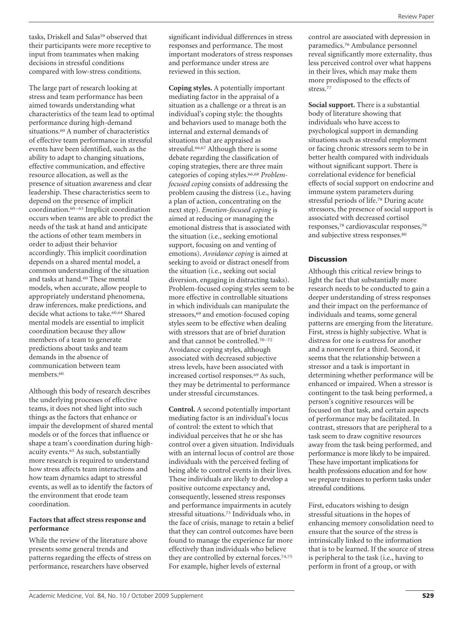tasks, Driskell and Salas<sup>59</sup> observed that their participants were more receptive to input from teammates when making decisions in stressful conditions compared with low-stress conditions.

The large part of research looking at stress and team performance has been aimed towards understanding what characteristics of the team lead to optimal performance during high-demand situations.<sup>60</sup> A number of characteristics of effective team performance in stressful events have been identified, such as the ability to adapt to changing situations, effective communication, and effective resource allocation, as well as the presence of situation awareness and clear leadership. These characteristics seem to depend on the presence of implicit coordination.<sup>60-63</sup> Implicit coordination occurs when teams are able to predict the needs of the task at hand and anticipate the actions of other team members in order to adjust their behavior accordingly. This implicit coordination depends on a shared mental model, a common understanding of the situation and tasks at hand.60 These mental models, when accurate, allow people to appropriately understand phenomena, draw inferences, make predictions, and decide what actions to take.60,64 Shared mental models are essential to implicit coordination because they allow members of a team to generate predictions about tasks and team demands in the absence of communication between team members.<sup>60</sup>

Although this body of research describes the underlying processes of effective teams, it does not shed light into such things as the factors that enhance or impair the development of shared mental models or of the forces that influence or shape a team's coordination during highacuity events.65 As such, substantially more research is required to understand how stress affects team interactions and how team dynamics adapt to stressful events, as well as to identify the factors of the environment that erode team coordination.

#### **Factors that affect stress response and performance**

While the review of the literature above presents some general trends and patterns regarding the effects of stress on performance, researchers have observed

significant individual differences in stress responses and performance. The most important moderators of stress responses and performance under stress are reviewed in this section.

**Coping styles.** A potentially important mediating factor in the appraisal of a situation as a challenge or a threat is an individual's coping style: the thoughts and behaviors used to manage both the internal and external demands of situations that are appraised as stressful.66,67 Although there is some debate regarding the classification of coping strategies, there are three main categories of coping styles.66,68 *Problemfocused coping* consists of addressing the problem causing the distress (i.e., having a plan of action, concentrating on the next step). *Emotion-focused coping* is aimed at reducing or managing the emotional distress that is associated with the situation (i.e., seeking emotional support, focusing on and venting of emotions). *Avoidance coping* is aimed at seeking to avoid or distract oneself from the situation (i.e., seeking out social diversion, engaging in distracting tasks). Problem-focused coping styles seem to be more effective in controllable situations in which individuals can manipulate the stressors,<sup>69</sup> and emotion-focused coping styles seem to be effective when dealing with stressors that are of brief duration and that cannot be controlled.<sup>70-72</sup> Avoidance coping styles, although associated with decreased subjective stress levels, have been associated with increased cortisol responses.69 As such, they may be detrimental to performance under stressful circumstances.

**Control.** A second potentially important mediating factor is an individual's locus of control: the extent to which that individual perceives that he or she has control over a given situation. Individuals with an internal locus of control are those individuals with the perceived feeling of being able to control events in their lives. These individuals are likely to develop a positive outcome expectancy and, consequently, lessened stress responses and performance impairments in acutely stressful situations.73 Individuals who, in the face of crisis, manage to retain a belief that they can control outcomes have been found to manage the experience far more effectively than individuals who believe they are controlled by external forces.<sup>74,75</sup> For example, higher levels of external

control are associated with depression in paramedics.76 Ambulance personnel reveal significantly more externality, thus less perceived control over what happens in their lives, which may make them more predisposed to the effects of stress.77

**Social support.** There is a substantial body of literature showing that individuals who have access to psychological support in demanding situations such as stressful employment or facing chronic stressors seem to be in better health compared with individuals without significant support. There is correlational evidence for beneficial effects of social support on endocrine and immune system parameters during stressful periods of life.78 During acute stressors, the presence of social support is associated with decreased cortisol responses,78 cardiovascular responses,79 and subjective stress responses.<sup>80</sup>

### **Discussion**

Although this critical review brings to light the fact that substantially more research needs to be conducted to gain a deeper understanding of stress responses and their impact on the performance of individuals and teams, some general patterns are emerging from the literature. First, stress is highly subjective. What is distress for one is eustress for another and a nonevent for a third. Second, it seems that the relationship between a stressor and a task is important in determining whether performance will be enhanced or impaired. When a stressor is contingent to the task being performed, a person's cognitive resources will be focused on that task, and certain aspects of performance may be facilitated. In contrast, stressors that are peripheral to a task seem to draw cognitive resources away from the task being performed, and performance is more likely to be impaired. These have important implications for health professions education and for how we prepare trainees to perform tasks under stressful conditions.

First, educators wishing to design stressful situations in the hopes of enhancing memory consolidation need to ensure that the source of the stress is intrinsically linked to the information that is to be learned. If the source of stress is peripheral to the task (i.e., having to perform in front of a group, or with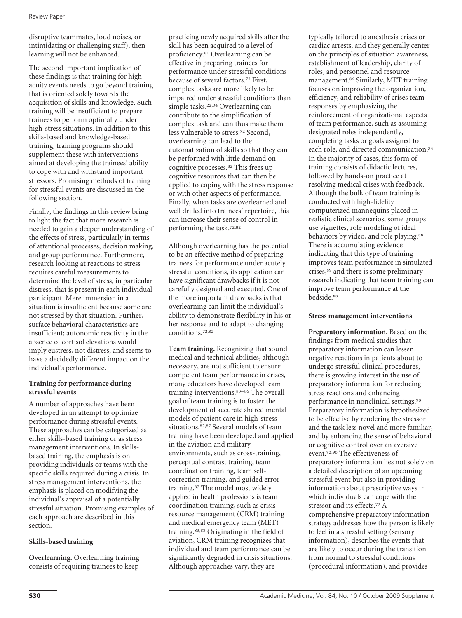disruptive teammates, loud noises, or intimidating or challenging staff), then learning will not be enhanced.

The second important implication of these findings is that training for highacuity events needs to go beyond training that is oriented solely towards the acquisition of skills and knowledge. Such training will be insufficient to prepare trainees to perform optimally under high-stress situations. In addition to this skills-based and knowledge-based training, training programs should supplement these with interventions aimed at developing the trainees' ability to cope with and withstand important stressors. Promising methods of training for stressful events are discussed in the following section.

Finally, the findings in this review bring to light the fact that more research is needed to gain a deeper understanding of the effects of stress, particularly in terms of attentional processes, decision making, and group performance. Furthermore, research looking at reactions to stress requires careful measurements to determine the level of stress, in particular distress, that is present in each individual participant. Mere immersion in a situation is insufficient because some are not stressed by that situation. Further, surface behavioral characteristics are insufficient; autonomic reactivity in the absence of cortisol elevations would imply eustress, not distress, and seems to have a decidedly different impact on the individual's performance.

## **Training for performance during stressful events**

A number of approaches have been developed in an attempt to optimize performance during stressful events. These approaches can be categorized as either skills-based training or as stress management interventions. In skillsbased training, the emphasis is on providing individuals or teams with the specific skills required during a crisis. In stress management interventions, the emphasis is placed on modifying the individual's appraisal of a potentially stressful situation. Promising examples of each approach are described in this section.

## **Skills-based training**

**Overlearning.** Overlearning training consists of requiring trainees to keep practicing newly acquired skills after the skill has been acquired to a level of proficiency.81 Overlearning can be effective in preparing trainees for performance under stressful conditions because of several factors.72 First, complex tasks are more likely to be impaired under stressful conditions than simple tasks.<sup>22,34</sup> Overlearning can contribute to the simplification of complex task and can thus make them less vulnerable to stress.72 Second, overlearning can lead to the automatization of skills so that they can be performed with little demand on cognitive processes.82 This frees up cognitive resources that can then be applied to coping with the stress response or with other aspects of performance. Finally, when tasks are overlearned and well drilled into trainees' repertoire, this can increase their sense of control in performing the task.72,82

Although overlearning has the potential to be an effective method of preparing trainees for performance under acutely stressful conditions, its application can have significant drawbacks if it is not carefully designed and executed. One of the more important drawbacks is that overlearning can limit the individual's ability to demonstrate flexibility in his or her response and to adapt to changing conditions.72,82

**Team training.** Recognizing that sound medical and technical abilities, although necessary, are not sufficient to ensure competent team performance in crises, many educators have developed team training interventions.83–86 The overall goal of team training is to foster the development of accurate shared mental models of patient care in high-stress situations.82,87 Several models of team training have been developed and applied in the aviation and military environments, such as cross-training, perceptual contrast training, team coordination training, team selfcorrection training, and guided error training.87 The model most widely applied in health professions is team coordination training, such as crisis resource management (CRM) training and medical emergency team (MET) training.83,88 Originating in the field of aviation, CRM training recognizes that individual and team performance can be significantly degraded in crisis situations. Although approaches vary, they are

typically tailored to anesthesia crises or cardiac arrests, and they generally center on the principles of situation awareness, establishment of leadership, clarity of roles, and personnel and resource management.86 Similarly, MET training focuses on improving the organization, efficiency, and reliability of crises team responses by emphasizing the reinforcement of organizational aspects of team performance, such as assuming designated roles independently, completing tasks or goals assigned to each role, and directed communication.<sup>83</sup> In the majority of cases, this form of training consists of didactic lectures, followed by hands-on practice at resolving medical crises with feedback. Although the bulk of team training is conducted with high-fidelity computerized mannequins placed in realistic clinical scenarios, some groups use vignettes, role modeling of ideal behaviors by video, and role playing.<sup>88</sup> There is accumulating evidence indicating that this type of training improves team performance in simulated crises,89 and there is some preliminary research indicating that team training can improve team performance at the bedside.88

#### **Stress management interventions**

**Preparatory information.** Based on the findings from medical studies that preparatory information can lessen negative reactions in patients about to undergo stressful clinical procedures, there is growing interest in the use of preparatory information for reducing stress reactions and enhancing performance in nonclinical settings.90 Preparatory information is hypothesized to be effective by rendering the stressor and the task less novel and more familiar, and by enhancing the sense of behavioral or cognitive control over an aversive event.72,90 The effectiveness of preparatory information lies not solely on a detailed description of an upcoming stressful event but also in providing information about prescriptive ways in which individuals can cope with the stressor and its effects.72 A comprehensive preparatory information strategy addresses how the person is likely to feel in a stressful setting (sensory information), describes the events that are likely to occur during the transition from normal to stressful conditions (procedural information), and provides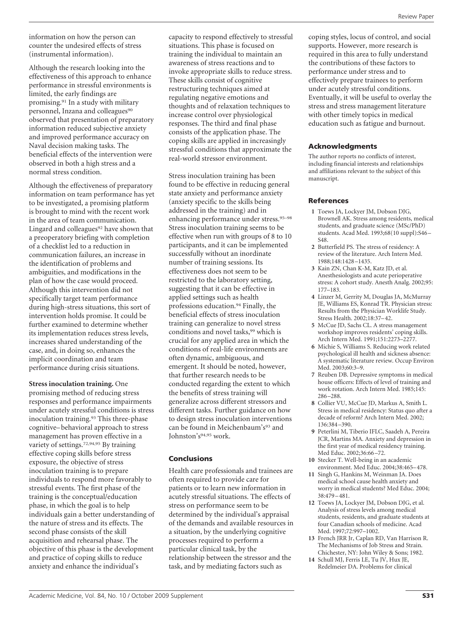information on how the person can counter the undesired effects of stress (instrumental information).

Although the research looking into the effectiveness of this approach to enhance performance in stressful environments is limited, the early findings are promising.91 In a study with military personnel, Inzana and colleagues<sup>90</sup> observed that presentation of preparatory information reduced subjective anxiety and improved performance accuracy on Naval decision making tasks. The beneficial effects of the intervention were observed in both a high stress and a normal stress condition.

Although the effectiveness of preparatory information on team performance has yet to be investigated, a promising platform is brought to mind with the recent work in the area of team communication. Lingard and colleagues<sup>92</sup> have shown that a preoperatory briefing with completion of a checklist led to a reduction in communication failures, an increase in the identification of problems and ambiguities, and modifications in the plan of how the case would proceed. Although this intervention did not specifically target team performance during high-stress situations, this sort of intervention holds promise. It could be further examined to determine whether its implementation reduces stress levels, increases shared understanding of the case, and, in doing so, enhances the implicit coordination and team performance during crisis situations.

**Stress inoculation training.** One promising method of reducing stress responses and performance impairments under acutely stressful conditions is stress inoculation training.<sup>93</sup> This three-phase cognitive– behavioral approach to stress management has proven effective in a variety of settings.72,94,95 By training effective coping skills before stress exposure, the objective of stress inoculation training is to prepare individuals to respond more favorably to stressful events. The first phase of the training is the conceptual/education phase, in which the goal is to help individuals gain a better understanding of the nature of stress and its effects. The second phase consists of the skill acquisition and rehearsal phase. The objective of this phase is the development and practice of coping skills to reduce anxiety and enhance the individual's

capacity to respond effectively to stressful situations. This phase is focused on training the individual to maintain an awareness of stress reactions and to invoke appropriate skills to reduce stress. These skills consist of cognitive restructuring techniques aimed at regulating negative emotions and thoughts and of relaxation techniques to increase control over physiological responses. The third and final phase consists of the application phase. The coping skills are applied in increasingly stressful conditions that approximate the real-world stressor environment.

Stress inoculation training has been found to be effective in reducing general state anxiety and performance anxiety (anxiety specific to the skills being addressed in the training) and in enhancing performance under stress.95–98 Stress inoculation training seems to be effective when run with groups of 8 to 10 participants, and it can be implemented successfully without an inordinate number of training sessions. Its effectiveness does not seem to be restricted to the laboratory setting, suggesting that it can be effective in applied settings such as health professions education.94 Finally, the beneficial effects of stress inoculation training can generalize to novel stress conditions and novel tasks,<sup>99</sup> which is crucial for any applied area in which the conditions of real-life environments are often dynamic, ambiguous, and emergent. It should be noted, however, that further research needs to be conducted regarding the extent to which the benefits of stress training will generalize across different stressors and different tasks. Further guidance on how to design stress inoculation interventions can be found in Meichenbaum's93 and Johnston's94,95 work.

#### **Conclusions**

Health care professionals and trainees are often required to provide care for patients or to learn new information in acutely stressful situations. The effects of stress on performance seem to be determined by the individual's appraisal of the demands and available resources in a situation, by the underlying cognitive processes required to perform a particular clinical task, by the relationship between the stressor and the task, and by mediating factors such as

coping styles, locus of control, and social supports. However, more research is required in this area to fully understand the contributions of these factors to performance under stress and to effectively prepare trainees to perform under acutely stressful conditions. Eventually, it will be useful to overlay the stress and stress management literature with other timely topics in medical education such as fatigue and burnout.

#### **Acknowledgments**

The author reports no conflicts of interest, including financial interests and relationships and affiliations relevant to the subject of this manuscript.

#### **References**

- **1** Toews JA, Lockyer JM, Dobson DJG, Brownell AK. Stress among residents, medical students, and graduate science (MSc/PhD) students. Acad Med. 1993;68(10 suppl):S46 – S48.
- **2** Butterfield PS. The stress of residency: A review of the literature. Arch Intern Med. 1988;148:1428 –1435.
- **3** Kain ZN, Chan K-M, Katz JD, et al. Anesthesiologists and acute perioperative stress: A cohort study. Anesth Analg. 2002;95: 177–183.
- **4** Linzer M, Gerrity M, Douglas JA, McMurray JE, Williams ES, Konrad TR. Physician stress: Results from the Physician Worklife Study. Stress Health. 2002;18:37–42.
- **5** McCue JD, Sachs CL. A stress management workshop improves residents' coping skills. Arch Intern Med. 1991;151:2273–2277.
- **6** Michie S, Williams S. Reducing work related psychological ill health and sickness absence: A systematic literature review. Occup Environ Med. 2003;60:3–9.
- **7** Reuben DB. Depressive symptoms in medical house officers: Effects of level of training and work rotation. Arch Intern Med. 1985;145: 286 –288.
- **8** Collier VU, McCue JD, Markus A, Smith L. Stress in medical residency: Status quo after a decade of reform? Arch Intern Med. 2002; 136:384 –390.
- **9** Peterlini M, Tiberio IFLC, Saadeh A, Pereira JCR, Martins MA. Anxiety and depression in the first year of medical residency training. Med Educ. 2002;36:66 –72.
- **10** Stecker T. Well-being in an academic environment. Med Educ. 2004;38:465–478.
- **11** Singh G, Hankins M, Weinman JA. Does medical school cause health anxiety and worry in medical students? Med Educ. 2004; 38:479 –481.
- **12** Toews JA, Lockyer JM, Dobson DJG, et al. Analysis of stress levels among medical students, residents, and graduate students at four Canadian schools of medicine. Acad Med. 1997;72:997–1002.
- **13** French JRR Jr, Caplan RD, Van Harrison R. The Mechanisms of Job Stress and Strain. Chichester, NY: John Wiley & Sons; 1982.
- **14** Schull MJ, Ferris LE, Tu JV, Hux JE, Redelmeier DA. Problems for clinical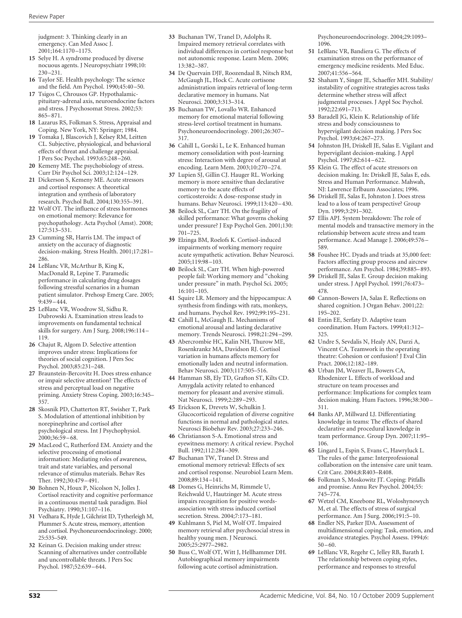judgment: 3. Thinking clearly in an emergency. Can Med Assoc J. 2001;164:1170 –1175.

- **15** Selye H. A syndrome produced by diverse nocuous agents. J Neuropsychiatr 1998;10: 230 –231.
- **16** Taylor SE. Health psychology: The science and the field. Am Psychol. 1990;45:40 –50.
- **17** Tsigos C, Chrousos GP. Hypothalamicpituitary-adrenal axis, neuroendocrine factors and stress. J Psychosomat Stress. 2002;53: 865–871.
- **18** Lazarus RS, Folkman S. Stress, Appraisal and Coping. New York, NY: Springer; 1984.
- **19** Tomaka J, Blascovich J, Kelsey RM, Leitten CL. Subjective, physiological, and behavioral effects of threat and challenge appraisal. J Pers Soc Psychol. 1993;65:248 –260.
- **20** Kemeny ME. The psychobiology of stress. Curr Dir Psychol Sci. 2003;12:124 –129.
- **21** Dickerson S, Kemeny ME. Acute stressors and cortisol responses: A theoretical integration and synthesis of laboratory research. Psychol Bull. 2004;130:355–391.
- **22** Wolf OT. The influence of stress hormones on emotional memory: Relevance for psychopathology. Acta Psychol (Amst). 2008; 127:513–531.
- **23** Cumming SR, Harris LM. The impact of anxiety on the accuracy of diagnostic decision-making. Stress Health. 2001;17:281– 286.
- **24** LeBlanc VR, McArthur B, King K, MacDonald R, Lepine T. Paramedic performance in calculating drug dosages following stressful scenarios in a human patient simulator. Prehosp Emerg Care. 2005;  $9:439 - 444.$
- **25** LeBlanc VR, Woodrow SI, Sidhu R. Dubrowski A. Examination stress leads to improvements on fundamental technical skills for surgery. Am J Surg. 2008;196:114 – 119.
- **26** Chajut R, Algom D. Selective attention improves under stress: Implications for theories of social cognition. J Pers Soc Psychol. 2003;85:231–248.
- **27** Braunstein-Bercovitz H. Does stress enhance or impair selective attention? The effects of stress and perceptual load on negative priming. Anxiety Stress Coping. 2003;16:345– 357.
- **28** Skosnik PD, Chatterton RT, Swisher T, Park S. Modulation of attentional inhibition by norepinephrine and cortisol after psychological stress. Int J Psychophysiol. 2000;36:59 –68.
- **29** MacLeod C, Rutherford EM. Anxiety and the selective processing of emotional information: Mediating roles of awareness, trait and state variables, and personal relevance of stimulus materials. Behav Res Ther. 1992;30:479 –491.
- **30** Bohnen N, Houx P, Nicolson N, Jolles J. Cortisol reactivity and cognitive performance in a continuous mental task paradigm. Biol Psychiatry. 1990;31:107–116.
- **31** Vedhara K, Hyde J, Gilchrist ID, Tytherleigh M, Plummer S. Acute stress, memory, attention and cortisol. Psychoneuroendocrinology. 2000; 25:535–549.
- **32** Keinan G. Decision making under stress: Scanning of alternatives under controllable and uncontrollable threats. J Pers Soc Psychol. 1987;52:639 –644.
- **33** Buchanan TW, Tranel D, Adolphs R. Impaired memory retrieval correlates with individual differences in cortisol response but not autonomic response. Learn Mem. 2006; 13:382–387.
- **34** De Quervain DJF, Roozendaal B, Nitsch RM, McGaugh JL, Hock C. Acute cortisone administration impairs retrieval of long-term declarative memory in humans. Nat Neurosci. 2000;3:313–314.
- **35** Buchanan TW, Lovallo WR. Enhanced memory for emotional material following stress-level cortisol treatment in humans. Psychoneuroendocrinology. 2001;26:307– 317.
- **36** Cahill L, Gorski L, Le K. Enhanced human memory consolidation with post-learning stress: Interaction with degree of arousal at encoding. Learn Mem. 2003;10:270 –274.
- **37** Lupien SJ, Gillin CJ. Hauger RL. Working memory is more sensitive than declarative memory to the acute effects of corticosteroids: A dose-response study in humans. Behav Neurosci. 1999;113:420 –430.
- **38** Beilock SL, Carr TH. On the fragility of skilled performance: What governs choking under pressure? J Exp Psychol Gen. 2001;130: 701–725.
- **39** Elzinga BM, Roelofs K. Cortisol-induced impairments of working memory require acute sympathetic activation. Behav Neurosci. 2005;119:98 –103.
- **40** Beilock SL, Carr TH. When high-powered people fail: Working memory and "choking under pressure" in math. Psychol Sci. 2005; 16:101–105.
- **41** Squire LR. Memory and the hippocampus: A synthesis from findings with rats, monkeys, and humans. Psychol Rev. 1992;99:195–231.
- **42** Cahill L, McGaugh JL. Mechanisms of emotional arousal and lasting declarative memory. Trends Neurosci. 1998;21:294 –299.
- **43** Abercrombie HC, Kalin NH, Thurow ME, Rosenkrankz MA, Davidson RJ. Cortisol variation in humans affects memory for emotionally laden and neutral information. Behav Neurosci. 2003;117:505–516.
- **44** Hamman SB, Ely TD, Grafton ST, Kilts CD. Amygdala activity related to enhanced memory for pleasant and aversive stimuli. Nat Neurosci. 1999;2:289 –293.
- **45** Erickson K, Drevets W, Schulkin J. Glucocorticoid regulation of diverse cognitive functions in normal and pathological states. Neurosci Biobehav Rev. 2003;27:233–246.
- **46** Christianson S-A. Emotional stress and eyewitness memory: A critical review. Psychol Bull. 1992;112:284 –309.
- **47** Buchanan TW, Tranel D. Stress and emotional memory retrieval: Effects of sex and cortisol response. Neurobiol Learn Mem. 2008;89:134 –141.
- **48** Domes G, Heinrichs M, Rimmele U, Reichwald U, Hautzinger M. Acute stress impairs recognition for positive wordsassociation with stress induced cortisol secretion. Stress. 2004;7:173–181.
- **49** Kuhlmann S, Piel M, Wolf OT. Impaired memory retrieval after psychosocial stress in healthy young men. J Neurosci. 2005;25:2977–2982.
- **50** Buss C, Wolf OT, Witt J, Hellhammer DH. Autobiographical memory impairments following acute cortisol administration.

Psychoneuroendocrinology. 2004;29:1093– 1096.

- **51** LeBlanc VR, Bandiera G. The effects of examination stress on the performance of emergency medicine residents. Med Educ. 2007;41:556 –564.
- **52** Shaham Y, Singer JE, Schaeffer MH. Stability/ instability of cognitive strategies across tasks determine whether stress will affect judgmental processes. J Appl Soc Psychol. 1992;22:691–713.
- **53** Baradell JG, Klein K. Relationship of life stress and body consciousness to hypervigilant decision making. J Pers Soc Psychol. 1993;64:267–273.
- **54** Johnston JH, Driskell JE, Salas E. Vigilant and hypervigilant decision-making. J Appl Psychol. 1997;82:614 –622.
- **55** Klein G. The effect of acute stressors on decision making. In: Driskell JE, Salas E, eds. Stress and Human Performance. Mahwah, NJ: Lawrence Erlbaum Associates; 1996.
- **56** Driskell JE, Salas E, Johnston J. Does stress lead to a loss of team perspective? Group Dyn. 1999;3:291–302.
- **57** Ellis APJ. System breakdown: The role of mental models and transactive memory in the relationship between acute stress and team performance. Acad Manage J. 2006;49:576 – 589.
- **58** Foushee HC. Dyads and triads at 35,000 feet: Factors affecting group process and aircrew performance. Am Psychol. 1984;39:885–893.
- **59** Driskell JE, Salas E. Group decision making under stress. J Appl Psychol. 1991;76:473– 478.
- **60** Cannon-Bowers JA, Salas E. Reflections on shared cognition. J Organ Behav. 2001;22: 195–202.
- **61** Entin EE, Serfaty D. Adaptive team coordination. Hum Factors. 1999;41:312– 325.
- **62** Undre S, Sevdalis N, Healy AN, Darzi A, Vincent CA. Teamwork in the operating theatre: Cohesion or confusion? J Eval Clin Pract. 2006;12:182–189.
- **63** Urban JM, Weaver JL, Bowers CA, Rhodenizer L. Effects of workload and structure on team processes and performance: Implications for complex team decision making. Hum Factors. 1996;38:300 – 311.
- **64** Banks AP, Millward LJ. Differentiating knowledge in teams: The effects of shared declarative and procedural knowledge in team performance. Group Dyn. 2007;11:95– 106.
- **65** Lingard L, Espin S, Evans C, Hawryluck L. The rules of the game: Interprofessional collaboration on the intensive care unit team. Crit Care. 2004;8:R403–R408.
- **66** Folkman S, Moskowitz JT. Coping: Pitfalls and promise. Annu Rev Psychol. 2004;55: 745–774.
- **67** Wetzel CM, Kneebone RL, Woloshynowych M, et al. The effects of stress of surgical performance. Am J Surg. 2006;191:5–10.
- **68** Endler NS, Parker JDA. Assessment of multidimensional coping: Task, emotion, and avoidance strategies. Psychol Assess. 1994;6:  $50 - 60.$
- **69** LeBlanc VR, Regehr C, Jelley RB, Barath I. The relationship between coping styles, performance and responses to stressful